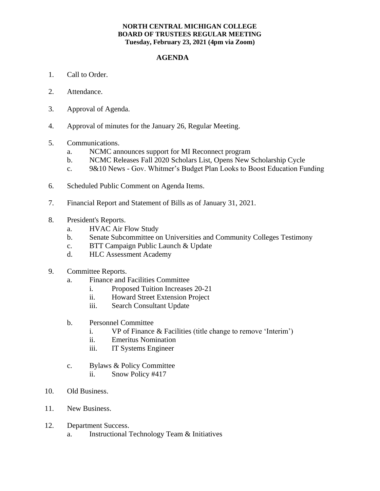## **NORTH CENTRAL MICHIGAN COLLEGE BOARD OF TRUSTEES REGULAR MEETING Tuesday, February 23, 2021 (4pm via Zoom)**

## **AGENDA**

- 1. Call to Order.
- 2. Attendance.
- 3. Approval of Agenda.
- 4. Approval of minutes for the January 26, Regular Meeting.
- 5. Communications.
	- a. NCMC announces support for MI Reconnect program
	- b. NCMC Releases Fall 2020 Scholars List, Opens New Scholarship Cycle
	- c. 9&10 News Gov. Whitmer's Budget Plan Looks to Boost Education Funding
- 6. Scheduled Public Comment on Agenda Items.
- 7. Financial Report and Statement of Bills as of January 31, 2021.
- 8. President's Reports.
	- a. HVAC Air Flow Study
	- b. Senate Subcommittee on Universities and Community Colleges Testimony
	- c. BTT Campaign Public Launch & Update
	- d. HLC Assessment Academy
- 9. Committee Reports.
	- a. Finance and Facilities Committee
		- i. Proposed Tuition Increases 20-21
		- ii. Howard Street Extension Project
		- iii. Search Consultant Update
	- b. Personnel Committee
		- i. VP of Finance & Facilities (title change to remove 'Interim')
		- ii. Emeritus Nomination
		- iii. IT Systems Engineer
	- c. Bylaws & Policy Committee
		- ii. Snow Policy #417
- 10. Old Business.
- 11. New Business.
- 12. Department Success.
	- a. Instructional Technology Team & Initiatives